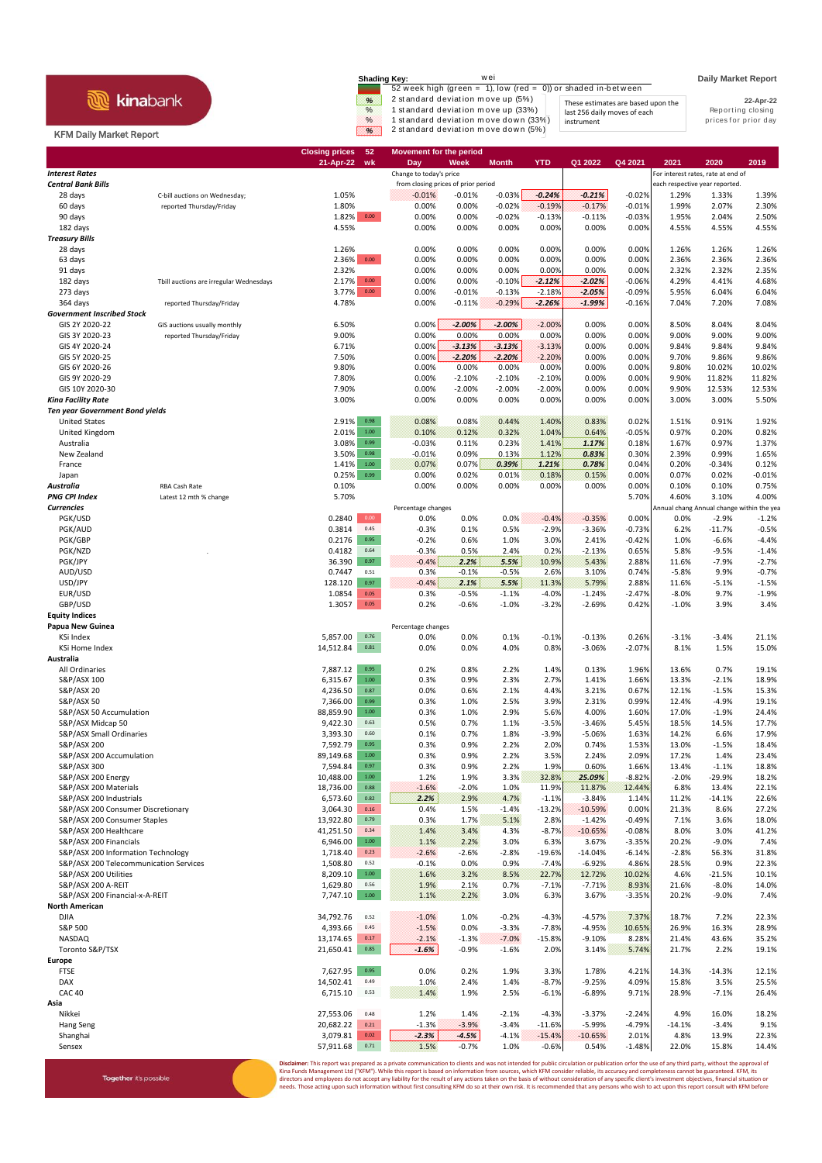|                                | wei<br>Shading Kev:                                                          | <b>Daily Market Report</b> |
|--------------------------------|------------------------------------------------------------------------------|----------------------------|
| <b>kinabank</b>                | 52 week high (green = $1$ ), low (red = 0)) or shaded in-between             |                            |
|                                | 2 standard deviation move up (5%)<br>%<br>These estimates are based upon the | 22-Apr-22                  |
|                                | %<br>1 standard deviation move up (33%)<br>last 256 daily moves of each      | Reporting closing          |
|                                | 1 standard deviation move down (33%)<br>$\%$<br>instrument                   | prices for prior day       |
| <b>KFM Daily Market Report</b> | 2 standard deviation move down (5%)<br>W.                                    |                            |

**21-Apr-22 wk Day Week Month YTD Q1 2022 Q4 2021 2021 2020 2019**

**Closing prices 52 Movement for the period**

Together it's possible

## **Interest Rates** *Interest Rates Interest Rates**Interest rates, rate at end of**Interest rates, rate at end of**Interest rates, rate at end of**Interest rates, rate at end of**from closing prices of prior period* **Central Bank Bills** each respective year reported **from closing prices of prior period** each respective year reported 28 days C-bill auctions on Wednesday; 1.05% -0.01% -0.01% -0.03% *-0.24% -0.21%* -0.02% 1.29% 1.33% 1.39% 60 days reported Thursday/Friday 1.80% 0.00% 0.00% -0.02% -0.19% -0.17% -0.01% 1.99% 2.07% 2.30% 90 days 1.82% 0.00 0.00% 0.00% -0.02% -0.13% -0.11% -0.03% 1.95% 2.04% 2.50% 182 days 4.55% 0.00% 0.00% 0.00% 0.00% 0.00% 0.00% 4.55% 4.55% 4.55% *Treasury Bills* 28 days 1.26% 0.00% 0.00% 0.00% 0.00% 0.00% 0.00% 1.26% 1.26% 1.26% 63 days 2.36% 0.00 0.00% 0.00% 0.00% 0.00% 0.00% 0.00% 2.36% 2.36% 2.36% 91 days 2.32% 0.00% 0.00% 0.00% 0.00% 0.00% 0.00% 2.32% 2.32% 2.35% 182 days Tbill auctions are irregular Wednesdays 2.17% 0.00 0.00% 0.00% -0.10% *-2.12% -2.02%* -0.06% 4.29% 4.41% 4.68% 273 days 3.77% 0.00 0.00% -0.01% -0.13% -2.18% *-2.05%* -0.09% 5.95% 6.04% 6.04% 364 days reported Thursday/Friday 4.78% 0.00% -0.11% -0.29% *-2.26% -1.99%* -0.16% 7.04% 7.20% 7.08% *Government Inscribed Stock* GIS 2Y 2020-22 GIS auctions usually monthly 6.50% 0.00% *-2.00% -2.00%* -2.00% 0.00% 0.00% 8.50% 8.04% 8.04% GIS 3Y 2020-23 reported Thursday/Friday 9.00% 0.00% 0.00% 0.00% 0.00% 0.00% 0.00% 9.00% 9.00% 9.00% GIS 4Y 2020-24 6.71% 0.00% *-3.13% -3.13%* -3.13% 0.00% 0.00% 9.84% 9.84% 9.84% GIS 5Y 2020-25 7.50% 0.00% *-2.20% -2.20%* -2.20% 0.00% 0.00% 9.70% 9.86% 9.86% GIS 6Y 2020-26 9.80% 0.00% 0.00% 0.00% 0.00% 0.00% 0.00% 9.80% 10.02% 10.02% GIS 9Y 2020-29 7.80% 0.00% -2.10% -2.10% -2.10% 0.00% 0.00% 9.90% 11.82% 11.82% GIS 10Y 2020-30 7.90% 0.00% -2.00% -2.00% -2.00% 0.00% 0.00% 9.90% 12.53% 12.53% *Kina Facility Rate* 3.00% 0.00% 0.00% 0.00% 0.00% 0.00% 0.00% 3.00% 3.00% 5.50% *Ten year Government Bond yields* United States 2.91% 0.98 0.08% 0.08% 0.44% 1.40% 0.83% 0.02% 1.51% 0.91% 1.92% United Kingdom 2.01% 1.00 0.10% 0.12% 0.32% 1.04% 0.64% -0.05% 0.97% 0.20% 0.82% Australia 3.08% 0.99 -0.03% 0.11% 0.23% 1.41% *1.17%* 0.18% 1.67% 0.97% 1.37% New Zealand 3.50% 0.98 -0.01% 0.09% 0.13% 1.12% *0.83%* 0.30% 2.39% 0.99% 1.65% France 1.41% 1.00 0.07% 0.07% *0.39% 1.21% 0.78%* 0.04% 0.20% -0.34% 0.12% Japan 0.25% 0.99 0.00% 0.02% 0.01% 0.18% 0.15% 0.00% 0.07% 0.02% -0.01% *Australia* RBA Cash Rate 0.10% 0.00% 0.00% 0.00% 0.00% 0.00% 0.00% 0.10% 0.10% 0.75% **PNG CPI Index** Latest 12 mth % change 5.70% 5.70% 5.70% 5.70% 5.70% 5.70% 5.70% 5.70% 5.10% 5.70% 5.10% 4.00% 5.10% **Currencies Percentage changes** Percentage changes **Annual change Annual change within the year** Annual change within the year PGK/USD 0.2840 0.00 0.0% 0.0% 0.0% -0.4% -0.35% 0.00% 0.0% -2.9% -1.2% PGK/AUD 0.3814 0.45 -0.3% 0.1% 0.5% -2.9% -3.36% -0.73% 6.2% -11.7% -0.5% PGK/GBP 0.2176 0.95 -0.2% 0.6% 1.0% 3.0% 2.41% -0.42% 1.0% -6.6% -4.4% PGK/NZD . 0.4182 0.64 -0.3% 0.5% 2.4% 0.2% -2.13% 0.65% 5.8% -9.5% -1.4% PGK/JPY 36.390 0.97 -0.4% *2.2% 5.5%* 10.9% 5.43% 2.88% 11.6% -7.9% -2.7% AUD/USD 0.7447 0.51 0.3% -0.1% -0.5% 2.6% 3.10% 0.74% -5.8% 9.9% -0.7% USD/JPY 128.120 0.97 -0.4% *2.1% 5.5%* 11.3% 5.79% 2.88% 11.6% -5.1% -1.5% EUR/USD 1.0854 0.05 0.3% -0.5% -1.1% -4.0% -1.24% -2.47% -8.0% 9.7% -1.9% GBP/USD 1.3057 0.05 0.2% -0.6% -1.0% -3.2% -2.69% 0.42% -1.0% 3.9% 3.4% **Equity Indices** Percentage changes<br>**Percentage changes**<br>**CO**<sub>9.26</sub> KSi Index 5,857.00 0.76 0.0% 0.0% 0.1% -0.1% -0.13% 0.26% -3.1% -3.4% 21.1% KSi Home Index 14,512.84 0.81 0.0% 0.0% 4.0% 0.8% -3.06% -2.07% 8.1% 1.5% 15.0% **Australia** All Ordinaries 7,887.12 0.95 0.2% 0.8% 2.2% 1.4% 0.13% 1.96% 13.6% 0.7% 19.1% S&P/ASX 100 6,315.67 1.00 0.3% 0.9% 2.3% 2.7% 1.41% 1.66% 13.3% -2.1% 18.9% S&P/ASX 20 4,236.50 0.87 0.0% 0.6% 2.1% 4.4% 3.21% 0.67% 12.1% -1.5% 15.3% S&P/ASX 50 7,366.00 0.99 0.3% 1.0% 2.5% 3.9% 2.31% 0.99% 12.4% -4.9% 19.1% S&P/ASX 50 Accumulation 10 1.00% 1.00% 88,859.90 1.00 0.3% 1.00% 1.00% 5.6% 4.00% 1.60% 17.0% -1.9% 24.4% S&P/ASX Midcap 50 9,422.30 0.63 0.5% 0.7% 1.1% -3.5% -3.46% 5.45% 18.5% 14.5% 17.7% S&P/ASX Small Ordinaries 3,393.30 0.60 0.1% 0.7% 1.8% -3.9% -5.06% 1.63% 14.2% 6.6% 17.9% S&P/ASX 200 7,592.79 0.95 0.3% 0.9% 2.2% 2.0% 0.74% 1.53% 13.0% -1.5% 18.4% S&P/ASX 200 Accumulation 689,149.68 1.00 0.3% 0.9% 2.24% 3.5% 2.24% 2.09% 17.2% 1.4% 2.34%<br>89,149.68 1.4% 23.4% 1.4% 23.4% 7,594.84 0.97 0.3% 0.9% 2.24% 1.9% 0.60% 1.66% 1.34% 1.1% 18.8% S&P/ASX 300 7,594.84 0.97 0.3% 0.9% 2.2% 1.9% 0.60% 1.66% 13.4% -1.1% 18.8% S&P/ASX 200 Energy 10,488.00 1.00 1.2% 1.9% 3.3% 32.8% *25.09%* -8.82% -2.0% -29.9% 18.2% S&P/ASX 200 Materials 18,736.00 0.88 -1.6% -2.0% 1.0% 11.9% 11.87% 12.44% 6.8% 13.4% 22.1% S&P/ASX 200 Industrials 6,573.60 0.82 *2.2%* 2.9% 4.7% -1.1% -3.84% 1.14% 11.2% -14.1% 22.6% S&P/ASX 200 Consumer Discretionary **3,064.30** 0.16 0.4% 1.5% -1.4% -13.2% -10.59% 0.00% 21.3% 8.6% 27.2% -1.4% -1<br>S&P/ASX 200 Consumer Stanles 16.0% 1.13.92.80 0.39 0.3% 1.7% 5.1% 2.8% -1.42% -0.49% 7.1% 3.6% 18.0% S&P/ASX 200 Consumer Staples S&P/ASX 200 Healthcare 41,251.50 0.34 1.4% 3.4% 4.3% -8.7% -10.65% -0.08% 8.0% 3.0% 41.2% S&P/ASX 200 Financials 6,946.00 1.00 1.1% 2.2% 3.0% 6.3% 3.67% -3.35% 20.2% -9.0% 7.4% S&P/ASX 200 Information Technology 1,718.40 0.23 31.8% -2.6% -2.6% -2.6% -2.8% -19.6% -14.04% -6.14% -2.8% 56.3% 31.8%<br>S&B/ASX 200 Information Technology -0.01/200 -19.9% -0.14% -0.01 -0.01 -0.01 -0.01 -6.02% -6.02% -0.01 S&P/ASX 200 Telecommunication Services 1,508.80 0.52<br>S&P/ASX 200 Utilities  $\text{S,209.10}\quad \text{1.00}\quad \text{3.2\%}\quad \text{3.2\%}\quad \text{3.2\%}\quad \text{22.7\%}\quad \text{22.7\%}\quad \text{10.02\%}\quad \text{4.6\%}\quad \text{-21.5\%}\quad \text{10.1\%}$ S&P/ASX 200 A-REIT 1,629.80 0.56 1.9% 2.1% 0.7% -7.1% -7.71% 8.93% 21.6% -8.0% 14.0% S&P/ASX 200 Financial-x-A-REIT 1.1% 7,747.10 1.00 1.1% 2.2% 3.0% 6.3% 3.67% -3.35% 20.2% -9.0% 7.4% **North American** DJIA 34,792.76 0.52 -1.0% 1.0% -0.2% -4.3% -4.57% 7.37% 18.7% 7.2% 22.3% S&P 500 4,393.66 0.45 -1.5% 0.0% -3.3% -7.8% -4.95% 10.65% 26.9% 16.3% 28.9% 2.13,174.65 0.17 -2.1% -1.3% -1.3% -1.3% -1.5.8% -9.10% 8.28% 2.14% 43.6% 35.2% -1.5.8% -9.10% محمد المستخدم ال Toronto S&P/TSX 21,650.41 0.85 *-1.6%* -0.9% -1.6% 2.0% 3.14% 5.74% 21.7% 2.2% 19.1% **Europe** FTSE 7,627.95 0.95 0.0% 0.2% 1.9% 3.3% 1.78% 4.21% 14.3% -14.3% 12.1% DAX 14,502.41 0.49 1.0% 2.4% 1.4% -8.7% -9.25% 4.09% 15.8% 3.5% 25.5%

 $\frac{1.496}{1.496}$   $\frac{1.496}{1.996}$   $\frac{2.5\%}{1.966}$   $\frac{-6.1\%}{1.968}$   $\frac{-6.89\%}{9.71\%}$   $\frac{28.9\%}{28.9\%}$   $\frac{-7.1\%}{26.4\%}$   $\frac{26.4\%}{26.4\%}$ **Asia** Nikkei 27,553.06 0.48 1.2% 1.4% -2.1% -4.3% -3.37% -2.24% 4.9% 16.0% 18.2% Hang Seng 20,682.22 0.21 -1.3% -3.9% -3.4% -11.6% -5.99% -4.79% -14.1% -3.4% 9.1% Shanghai 3,079.81 0.02 *-2.3% -4.5%* -4.1% -15.4% -10.65% 2.01% 4.8% 13.9% 22.3%  $\texttt{57,911.68} \quad \texttt{0.71} \qquad \texttt{1.5\%} \qquad \texttt{-0.7\%} \qquad \texttt{1.0\%} \qquad \texttt{-0.6\%} \qquad \texttt{0.54\%} \qquad \texttt{-1.48\%} \qquad \texttt{22.0\%} \qquad \texttt{15.8\%} \qquad \texttt{14.4\%} \qquad \texttt{1.5.8\%} \qquad \texttt{1.5.8\%} \qquad \texttt{1.5.8\%} \qquad \texttt{1.5.8\%} \qquad \texttt{1.5.8\$ ed as a private communication to clients and was not intended for public circulation or publication orfor the use of any third party, without the approval of

Kina Funds Management Ltd ("KFM"). While this report is based on information from sources, which KFM consider reliable, its accuracy and completeness cannot be guaranteed. KFM, its<br>directors and employees do not accept any eeds. Those acting upon such information without first consulting KFM do so at their own risk. It is recommended that any persons who wish to act upon this report consult with KFM before